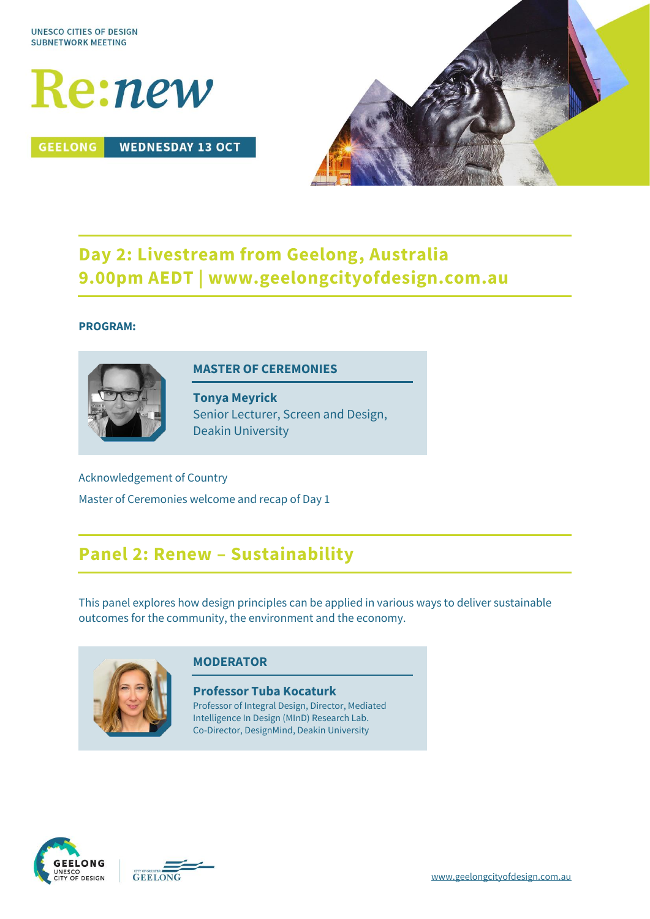

**GEELONG WEDNESDAY 13 OCT** 



## **Day 2: Livestream from Geelong, Australia 9.00pm AEDT | www.geelongcityofdesign.com.au**

### **PROGRAM:**



### **MASTER OF CEREMONIES**

**Tonya Meyrick** Senior Lecturer, Screen and Design, Deakin University

Acknowledgement of Country Master of Ceremonies welcome and recap of Day 1

## **Panel 2: Renew – Sustainability**

This panel explores how design principles can be applied in various ways to deliver sustainable outcomes for the community, the environment and the economy.



## **MODERATOR**

**Professor Tuba Kocaturk** Professor of Integral Design, Director, Mediated Intelligence In Design (MInD) Research Lab. Co-Director, DesignMind, Deakin University



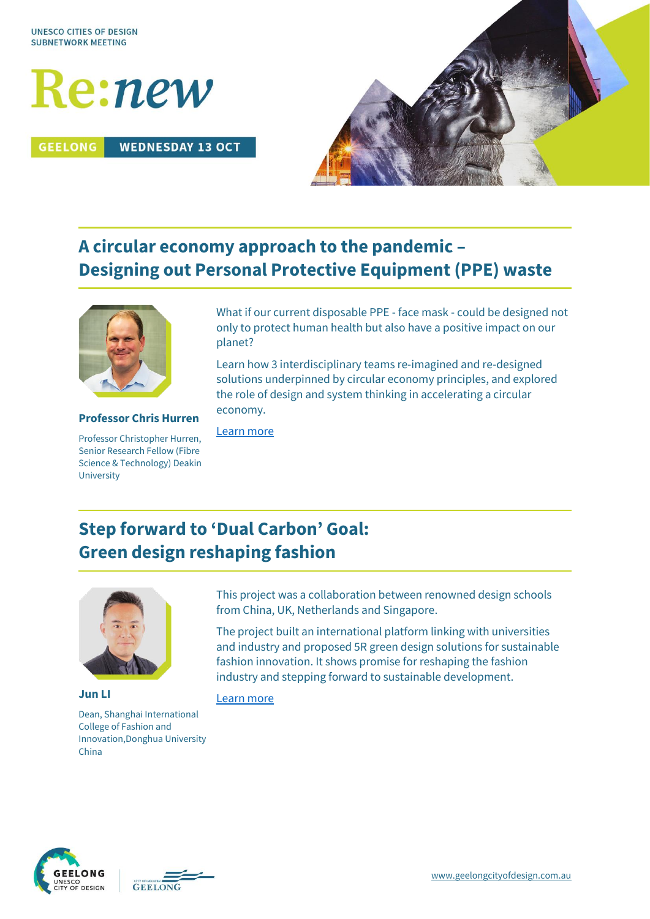

**GEELONG WEDNESDAY 13 OCT** 



# **A circular economy approach to the pandemic – Designing out Personal Protective Equipment (PPE) waste**



**Professor Chris Hurren** Professor Christopher Hurren, Senior Research Fellow (Fibre Science & Technology) Deakin

University

What if our current disposable PPE - face mask - could be designed not only to protect human health but also have a positive impact on our planet?

Learn how 3 interdisciplinary teams re-imagined and re-designed solutions underpinned by circular economy principles, and explored the role of design and system thinking in accelerating a circular economy.

[Learn more](https://ifm.deakin.edu.au/research/fibres-and-textiles/)

# **Step forward to 'Dual Carbon' Goal: Green design reshaping fashion**



**Jun LI** Dean, Shanghai International College of Fashion and Innovation,Donghua University China

This project was a collaboration between renowned design schools from China, UK, Netherlands and Singapore.

The project built an international platform linking with universities and industry and proposed 5R green design solutions for sustainable fashion innovation. It shows promise for reshaping the fashion industry and stepping forward to sustainable development.

### [Learn more](https://scf.dhu.edu.cn/wbout/list.htm)